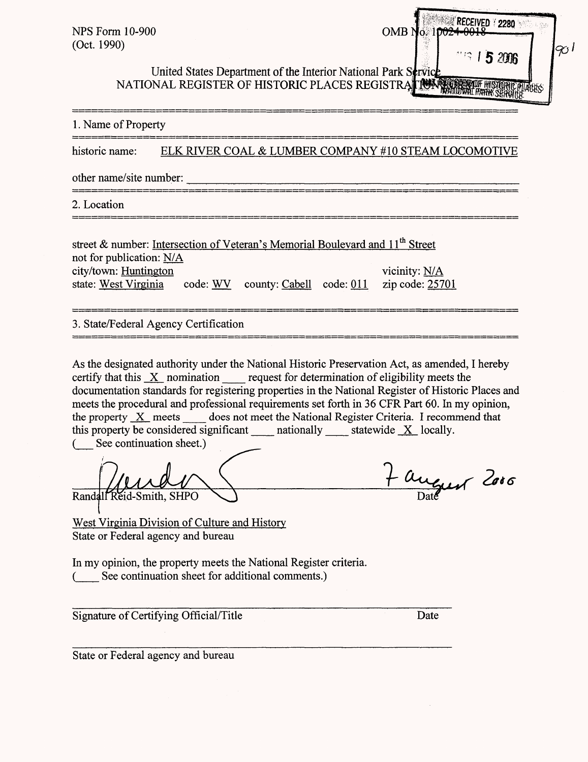| <b><i>RECEIVED 1</i> 2280</b><br><b>NPS Form 10-900</b><br>OMB No. 10024<br>(Oct. 1990)<br>ا رىپ<br><b>219 15 2006</b><br>United States Department of the Interior National Park Strvice<br>UTHER STATE OF HISTORIC PLACES REGISTRA TO THE MISTONAL REGISTER OF HISTORIC PLACES REGISTRA TO THE MANUSCRIPT                                                                                                                                                                                                                                                                                       |
|--------------------------------------------------------------------------------------------------------------------------------------------------------------------------------------------------------------------------------------------------------------------------------------------------------------------------------------------------------------------------------------------------------------------------------------------------------------------------------------------------------------------------------------------------------------------------------------------------|
| 1. Name of Property                                                                                                                                                                                                                                                                                                                                                                                                                                                                                                                                                                              |
| ELK RIVER COAL & LUMBER COMPANY #10 STEAM LOCOMOTIVE<br>historic name:                                                                                                                                                                                                                                                                                                                                                                                                                                                                                                                           |
| other name/site number:                                                                                                                                                                                                                                                                                                                                                                                                                                                                                                                                                                          |
| 2. Location                                                                                                                                                                                                                                                                                                                                                                                                                                                                                                                                                                                      |
| street & number: Intersection of Veteran's Memorial Boulevard and 11 <sup>th</sup> Street<br>not for publication: N/A<br>city/town: Huntington<br>vicinity: N/A<br>state: West Virginia<br>code: WV county: Cabell code: 011<br>zip code: 25701                                                                                                                                                                                                                                                                                                                                                  |
| 3. State/Federal Agency Certification                                                                                                                                                                                                                                                                                                                                                                                                                                                                                                                                                            |
| As the designated authority under the National Historic Preservation Act, as amended, I hereby<br>certify that this $X$ nomination request for determination of eligibility meets the<br>documentation standards for registering properties in the National Register of Historic Places and<br>meets the procedural and professional requirements set forth in 36 CFR Part 60. In my opinion,<br>the property $X$ meets does not meet the National Register Criteria. I recommend that<br>this property be considered significant<br>nationally statewide X locally.<br>See continuation sheet.) |
| - august 2006<br>Randall Reid-Smith, SHPO<br><b>West Virginia Division of Culture and History</b><br>State or Federal agency and bureau                                                                                                                                                                                                                                                                                                                                                                                                                                                          |
| In my opinion, the property meets the National Register criteria.<br>See continuation sheet for additional comments.)                                                                                                                                                                                                                                                                                                                                                                                                                                                                            |
| Signature of Certifying Official/Title<br>Date                                                                                                                                                                                                                                                                                                                                                                                                                                                                                                                                                   |
| State or Federal agency and bureau                                                                                                                                                                                                                                                                                                                                                                                                                                                                                                                                                               |
|                                                                                                                                                                                                                                                                                                                                                                                                                                                                                                                                                                                                  |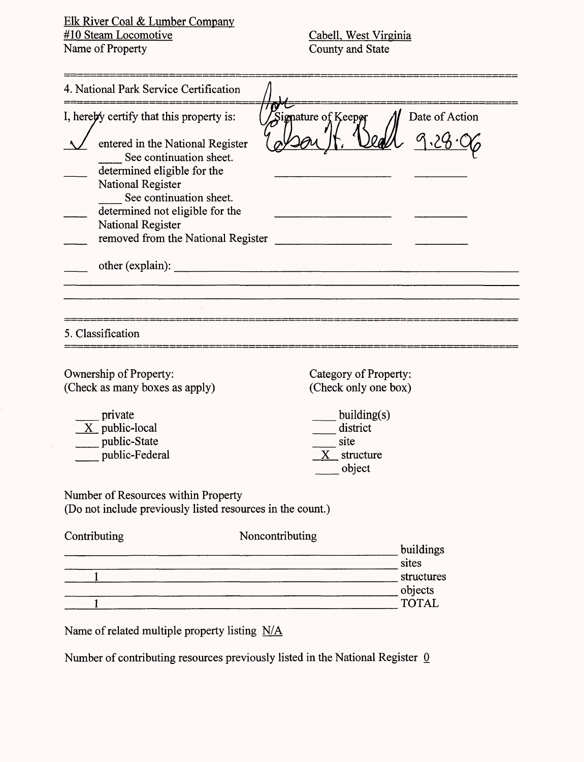Elk River Coal & Lumber Company #10 Steam Locomotive Name of Property

 $\hat{\boldsymbol{\beta}}$ 

Cabell, West Virginia County and State

|              | 4. National Park Service Certification                                                                                                                                                                                                                                                                   |                                                                                  |                                                             |
|--------------|----------------------------------------------------------------------------------------------------------------------------------------------------------------------------------------------------------------------------------------------------------------------------------------------------------|----------------------------------------------------------------------------------|-------------------------------------------------------------|
|              | I, hereby certify that this property is:<br>entered in the National Register<br>See continuation sheet.<br>determined eligible for the<br>National Register<br>See continuation sheet.<br>determined not eligible for the<br>National Register<br>removed from the National Register<br>other (explain): | Signature of Keepor                                                              | Date of Action                                              |
|              | 5. Classification<br>Ownership of Property:                                                                                                                                                                                                                                                              | Category of Property:                                                            |                                                             |
|              | (Check as many boxes as apply)<br>private<br>$X$ public-local<br>public-State<br>public-Federal                                                                                                                                                                                                          | (Check only one box)<br>building(s)<br>district<br>site<br>X structure<br>object |                                                             |
|              | Number of Resources within Property<br>(Do not include previously listed resources in the count.)                                                                                                                                                                                                        |                                                                                  |                                                             |
| Contributing |                                                                                                                                                                                                                                                                                                          | Noncontributing                                                                  | buildings<br>sites<br>structures<br>objects<br><b>TOTAL</b> |
|              | Name of related multiple property listing N/A                                                                                                                                                                                                                                                            |                                                                                  |                                                             |

Number of contributing resources previously listed in the National Register  $0$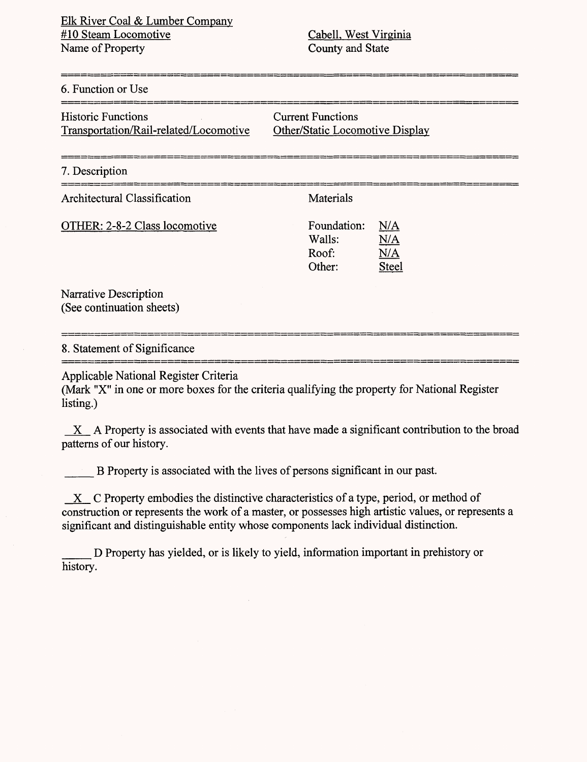#### 6. Function or Use

| <b>Historic Functions</b>              |  |
|----------------------------------------|--|
| Transportation/Rail-related/Locomotive |  |

**Current Functions** Other/Static Locomotive Display

#### 7. Description

Architectural Classification Materials

OTHER: 2-8-2 Class locomotive

| Foundation: | N/A          |
|-------------|--------------|
| Walls:      | N/A          |
| Roof:       | N/A          |
| Other:      | <b>Steel</b> |

Narrative Description (See continuation sheets)

#### 8. Statement of Significance

Applicable National Register Criteria

(Mark "X" in one or more boxes for the criteria qualifying the property for National Register listing.)

 $X$  A Property is associated with events that have made a significant contribution to the broad patterns of our history.

\_\_\_ B Property is associated with the lives of persons significant in our past.

X C Property embodies the distinctive characteristics of a type, period, or method of construction or represents the work of a master, or possesses high artistic values, or represents a significant and distinguishable entity whose components lack individual distinction.

D Property has yielded, or is likely to yield, information important in prehistory or history.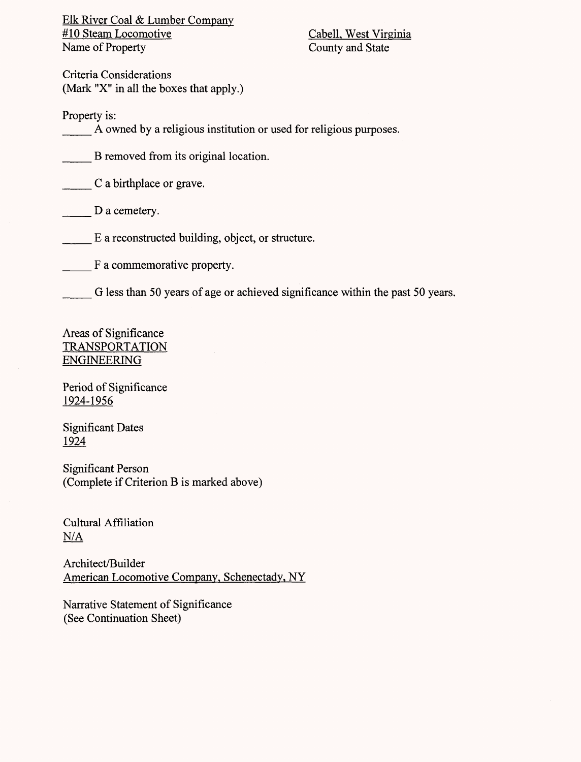Elk River Coal & Lumber Company<br>#10 Steam Locomotive Name of Property County and State

Cabell, West Virginia

Criteria Considerations (Mark "X" in all the boxes that apply.)

Property is:

A owned by a religious institution or used for religious purposes.

B removed from its original location.

\_\_\_ C a birthplace or grave.

D a cemetery.

\_\_\_ E a reconstructed building, object, or structure.

\_\_\_ F a commemorative property.

G less than 50 years of age or achieved significance within the past 50 years.

Areas of Significance TRANSPORTATION ENGINEERING

Period of Significance 1924-1956

Significant Dates 1924

Significant Person (Complete if Criterion B is marked above)

Cultural Affiliation  $N/A$ 

Architect/Builder American Locomotive Company, Schenectady, NY

Narrative Statement of Significance (See Continuation Sheet)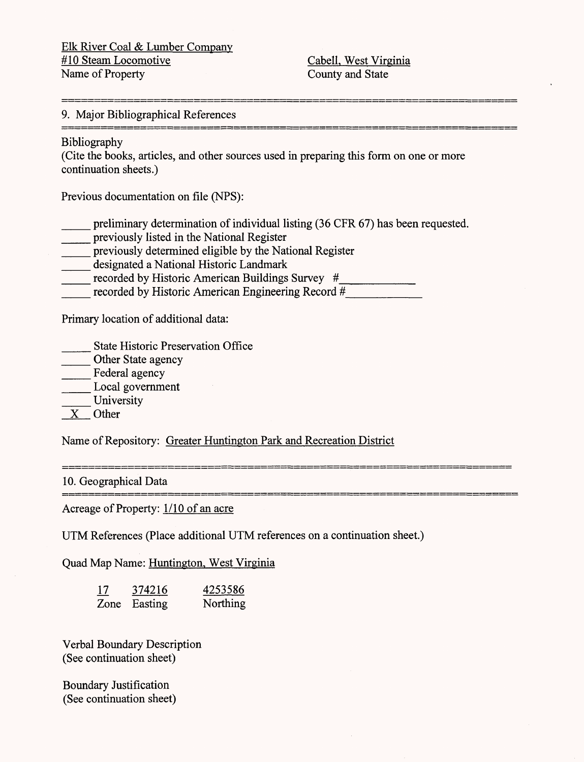Elk River Coal & Lumber Company #10 Steam Locomotive CabelL West Virginia Name of Property County and State

# 9. Major Bibliographical References

### Bibliography

(Cite the books, articles, and other sources used in preparing this form on one or more continuation sheets.)

Previous documentation on file (NPS):

preliminary determination of individual listing (36 CFR 67) has been requested.

- \_\_\_ previously listed in the National Register
- \_\_\_ previously determined eligible by the National Register
- designated a National Historic Landmark
- \_\_\_ recorded by Historic American Buildings Survey *#*\_\_\_\_\_\_\_\_
- recorded by Historic American Engineering Record #

Primary location of additional data:

- \_\_\_ State Historic Preservation Office
- Other State agency
- Federal agency
- \_\_\_ Local government

University

X Other

Name of Repository: Greater Huntington Park and Recreation District

10. Geographical Data

Acreage of Property: 1/10 of an acre

UTM References (Place additional UTM references on a continuation sheet.)

Quad Map Name: Huntington, West Virginia

| <u> 17</u> | 374216       | 4253586  |
|------------|--------------|----------|
|            | Zone Easting | Northing |

Verbal Boundary Description (See continuation sheet)

Boundary Justification (See continuation sheet)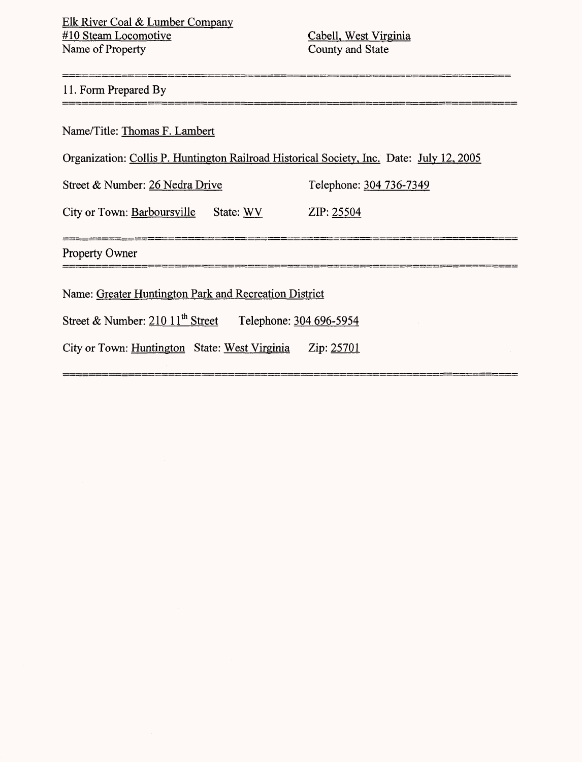\_\_\_\_\_\_\_\_\_\_\_\_\_\_\_\_\_\_\_\_\_\_\_\_\_\_\_\_\_\_

#### 11. Form Prepared By

Name/Title: Thomas F. Lambert

| Organization: Collis P. Huntington Railroad Historical Society, Inc. Date: July 12, 2005 |  |
|------------------------------------------------------------------------------------------|--|
|------------------------------------------------------------------------------------------|--|

Street & Number: 26 Nedra Drive Telephone: 304 736-7349

City or Town: Barboursville State: WV ZIP: 25504

Property Owner<br>==========================

Name: Greater Huntington Park and Recreation District

Street & Number: 210 11<sup>th</sup> Street Telephone: 304 696-5954

City or Town: Huntington State: West Virginia Zip: 25701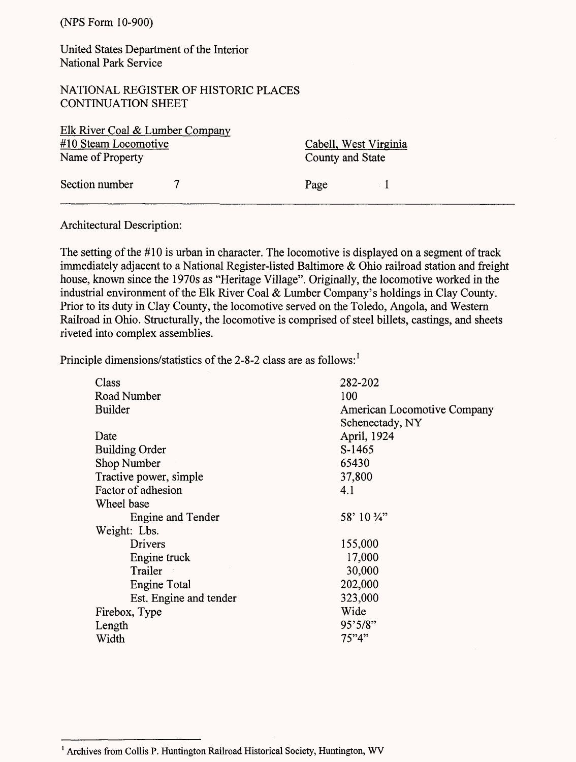United States Department of the Interior National Park Service

NATIONAL REGISTER OF HISTORIC PLACES CONTINUATION SHEET

| Elk River Coal & Lumber Company |                       |  |
|---------------------------------|-----------------------|--|
| #10 Steam Locomotive            | Cabell, West Virginia |  |
| Name of Property                | County and State      |  |
| Section number                  | Page                  |  |

Architectural Description:

The setting of the *#10* is urban in character. The locomotive is displayed on a segment of track immediately adjacent to a National Register-listed Baltimore & Ohio railroad station and freight house, known since the 1970s as "Heritage Village". Originally, the locomotive worked in the industrial environment of the Elk River Coal & Lumber Company's holdings in Clay County. Prior to its duty in Clay County, the locomotive served on the Toledo, Angola, and Western Railroad in Ohio. Structurally, the locomotive is comprised of steel billets, castings, and sheets riveted into complex assemblies.

Principle dimensions/statistics of the 2-8-2 class are as follows:<sup>1</sup>

| Class                  | 282-202                     |
|------------------------|-----------------------------|
| Road Number            | 100                         |
| <b>Builder</b>         | American Locomotive Company |
|                        | Schenectady, NY             |
| Date                   | April, 1924                 |
| <b>Building Order</b>  | S-1465                      |
| Shop Number            | 65430                       |
| Tractive power, simple | 37,800                      |
| Factor of adhesion     | 4.1                         |
| Wheel base             |                             |
| Engine and Tender      | 58' 10 3/4"                 |
| Weight: Lbs.           |                             |
| Drivers                | 155,000                     |
| Engine truck           | 17,000                      |
| Trailer                | 30,000                      |
| Engine Total           | 202,000                     |
| Est. Engine and tender | 323,000                     |
| Firebox, Type          | Wide                        |
| Length                 | 95'5/8"                     |
| Width                  | 75"4"                       |

<sup>&</sup>lt;sup>1</sup> Archives from Collis P. Huntington Railroad Historical Society, Huntington, WV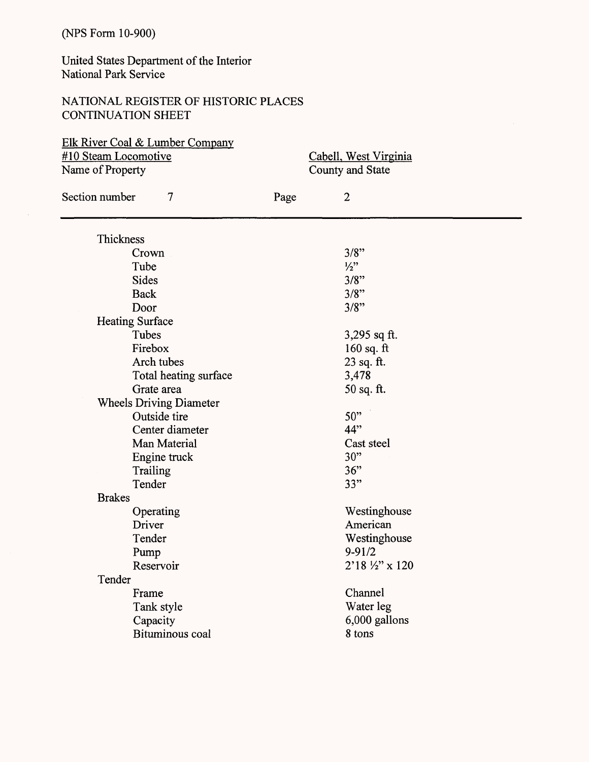United States Department of the Interior National Park Service

## NATIONAL REGISTER OF HISTORIC PLACES CONTINUATION SHEET

| Elk River Coal & Lumber Company<br>#10 Steam Locomotive<br>Name of Property |      | Cabell, West Virginia<br>County and State |
|-----------------------------------------------------------------------------|------|-------------------------------------------|
| Section number<br>$\overline{7}$                                            | Page | $\overline{2}$                            |
| Thickness                                                                   |      |                                           |
| Crown                                                                       |      | 3/8"                                      |
| Tube                                                                        |      | $\frac{1}{2}$                             |
| <b>Sides</b>                                                                |      | 3/8"                                      |
| <b>Back</b>                                                                 |      | 3/8"                                      |
| Door                                                                        |      | 3/8"                                      |
| <b>Heating Surface</b>                                                      |      |                                           |
| Tubes                                                                       |      | 3,295 sq ft.                              |
| Firebox                                                                     |      | 160 sq. $ft$                              |
| Arch tubes                                                                  |      | 23 sq. ft.                                |
| Total heating surface                                                       |      | 3,478                                     |
| Grate area                                                                  |      | $50$ sq. ft.                              |
| <b>Wheels Driving Diameter</b>                                              |      |                                           |
| Outside tire                                                                |      | 50"                                       |
| Center diameter                                                             |      | 44"                                       |
| Man Material                                                                |      | Cast steel                                |
| Engine truck                                                                |      | 30"                                       |
| Trailing                                                                    |      | 36"                                       |
| Tender                                                                      |      | 33"                                       |
| <b>Brakes</b>                                                               |      |                                           |
| Operating                                                                   |      | Westinghouse                              |
| Driver                                                                      |      | American                                  |
| Tender                                                                      |      | Westinghouse                              |
| Pump                                                                        |      | $9 - 91/2$                                |
| Reservoir                                                                   |      | 2'18 1/2" x 120                           |
| Tender                                                                      |      |                                           |
| Frame                                                                       |      | Channel                                   |
| Tank style                                                                  |      | Water leg                                 |
| Capacity                                                                    |      | 6,000 gallons                             |
| <b>Bituminous</b> coal                                                      |      | 8 tons                                    |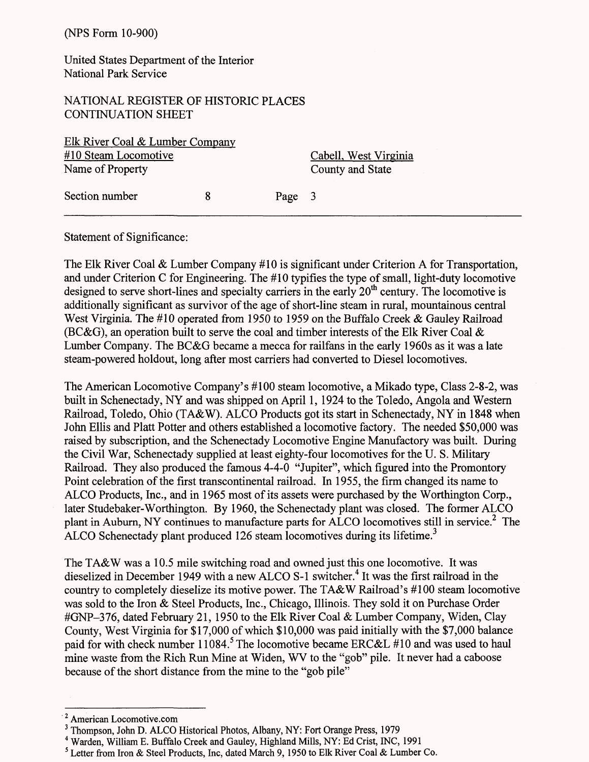United States Department of the Interior National Park Service

NATIONAL REGISTER OF HISTORIC PLACES CONTINUATION SHEET

| Elk River Coal & Lumber Company |        |                       |
|---------------------------------|--------|-----------------------|
| #10 Steam Locomotive            |        | Cabell, West Virginia |
| Name of Property                |        | County and State      |
| Section number                  | Page 3 |                       |

Statement of Significance:

The Elk River Coal & Lumber Company *#10* is significant under Criterion A for Transportation, and under Criterion C for Engineering. The *#10* typifies the type of small, light-duty locomotive designed to serve short-lines and specialty carriers in the early  $20<sup>th</sup>$  century. The locomotive is additionally significant as survivor of the age of short-line steam in rural, mountainous central West Virginia. The *#10* operated from 1950 to 1959 on the Buffalo Creek & Gauley Railroad (BC&G), an operation built to serve the coal and timber interests of the Elk River Coal  $\&$ Lumber Company. The BC&G became a mecca for railfans in the early 1960s as it was a late steam-powered holdout, long after most carriers had converted to Diesel locomotives.

The American Locomotive Company's #100 steam locomotive, a Mikado type, Class 2-8-2, was built in Schenectady, NY and was shipped on April 1, 1924 to the Toledo, Angola and Western Railroad, Toledo, Ohio (TA&W). ALCO Products got its start in Schenectady, NY in 1848 when John Ellis and Platt Potter and others established a locomotive factory. The needed \$50,000 was raised by subscription, and the Schenectady Locomotive Engine Manufactory was built. During the Civil War, Schenectady supplied at least eighty-four locomotives for the U. S. Military Railroad. They also produced the famous 4-4-0 "Jupiter", which figured into the Promontory Point celebration of the first transcontinental railroad. In 1955, the firm changed its name to ALCO Products, Inc., and in 1965 most of its assets were purchased by the Worthington Corp., later Studebaker-Worthington. By 1960, the Schenectady plant was closed. The former ALCO plant in Auburn, NY continues to manufacture parts for ALCO locomotives still in service.<sup>2</sup> The ALCO Schenectady plant produced 126 steam locomotives during its lifetime.<sup>3</sup>

The TA&W was a 10.5 mile switching road and owned just this one locomotive. It was dieselized in December 1949 with a new ALCO S-1 switcher.<sup>4</sup> It was the first railroad in the country to completely dieselize its motive power. The TA&W Railroad's #100 steam locomotive was sold to the Iron & Steel Products, Inc., Chicago, Illinois. They sold it on Purchase Order #GNP-376, dated February 21, 1950 to the Elk River Coal & Lumber Company, Widen, Clay County, West Virginia for \$17,000 of which \$10,000 was paid initially with the \$7,000 balance paid for with check number 11084.<sup>5</sup> The locomotive became ERC&L #10 and was used to haul mine waste from the Rich Run Mine at Widen, WV to the "gob" pile. It never had a caboose because of the short distance from the mine to the "gob pile"

<sup>2</sup> American Locomotive.com

<sup>3</sup> Thompson, John D. ALCO Historical Photos, Albany, NY: Fort Orange Press, 1979

<sup>4</sup> Warden, William E. Buffalo Creek and Gauley, Highland Mills, NY: Ed Grist, INC, 1991

<sup>&</sup>lt;sup>5</sup> Letter from Iron & Steel Products, Inc, dated March 9, 1950 to Elk River Coal & Lumber Co.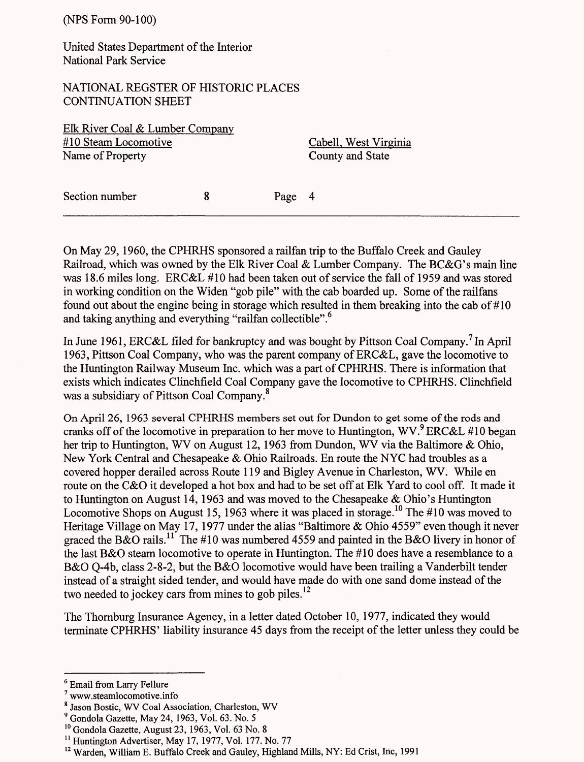(NFS Form 90-100)

United States Department of the Interior National Park Service

NATIONAL REGSTER OF HISTORIC PLACES CONTINUATION SHEET

Elk River Coal & Lumber Company #10 Steam Locomotive Cabell, West Virginia Name of Property County and State

Section number 8 Page 4

On May 29, 1960, the CPHRHS sponsored a railfan trip to the Buffalo Creek and Gauley Railroad, which was owned by the Elk River Coal & Lumber Company. The BC&G's main line was 18.6 miles long. ERC&L *#10* had been taken out of service the fall of 1959 and was stored in working condition on the Widen "gob pile" with the cab boarded up. Some of the railfans found out about the engine being in storage which resulted in them breaking into the cab of #10 and taking anything and everything "railfan collectible".<sup>6</sup>

In June 1961, ERC&L filed for bankruptcy and was bought by Pittson Coal Company.<sup>7</sup> In April 1963, Pittson Coal Company, who was the parent company of ERC&L, gave the locomotive to the Huntington Railway Museum Inc. which was a part of CPHRHS. There is information that exists which indicates Clinchfield Coal Company gave the locomotive to CPHRHS. Clinchfield was a subsidiary of Pittson Coal Company.<sup>8</sup>

On April 26, 1963 several CPHRHS members set out for Dundon to get some of the rods and cranks off of the locomotive in preparation to her move to Huntington, WV. ERC&L #10 began her trip to Huntington, WV on August 12, 1963 from Dundon, WV via the Baltimore & Ohio, New York Central and Chesapeake & Ohio Railroads. En route the NYC had troubles as a covered hopper derailed across Route 119 and Bigley Avenue in Charleston, WV. While en route on the C&O it developed a hot box and had to be set off at Elk Yard to cool off. It made it to Huntington on August 14, 1963 and was moved to the Chesapeake & Ohio's Huntington Locomotive Shops on August 15, 1963 where it was placed in storage.<sup>10</sup> The #10 was moved to Heritage Village on May 17, 1977 under the alias "Baltimore & Ohio 4559" even though it never graced the B&O rails.<sup>11</sup> The #10 was numbered 4559 and painted in the B&O livery in honor of the last B&O steam locomotive to operate in Huntington. The #10 does have a resemblance to a B&O Q-4b, class 2-8-2, but the B&O locomotive would have been trailing a Vanderbilt tender instead of a straight sided tender, and would have made do with one sand dome instead of the two needed to jockey cars from mines to gob piles.<sup>12</sup>

The Thornburg Insurance Agency, in a letter dated October 10, 1977, indicated they would terminate CPHRHS' liability insurance 45 days from the receipt of the letter unless they could be

<sup>6</sup> Email from Larry Fellure

<sup>7</sup> www.steamlocomotive.info

<sup>8</sup> Jason Bostic, WV Coal Association, Charleston, WV

<sup>9</sup> Gondola Gazette, May 24, 1963, Vol. 63. No. 5

<sup>10</sup> Gondola Gazette, August 23, 1963, Vol. 63 No. 8

<sup>&</sup>lt;sup>11</sup> Huntington Advertiser, May 17, 1977, Vol. 177. No. 77

<sup>&</sup>lt;sup>12</sup> Warden, William E. Buffalo Creek and Gauley, Highland Mills, NY: Ed Crist, Inc, 1991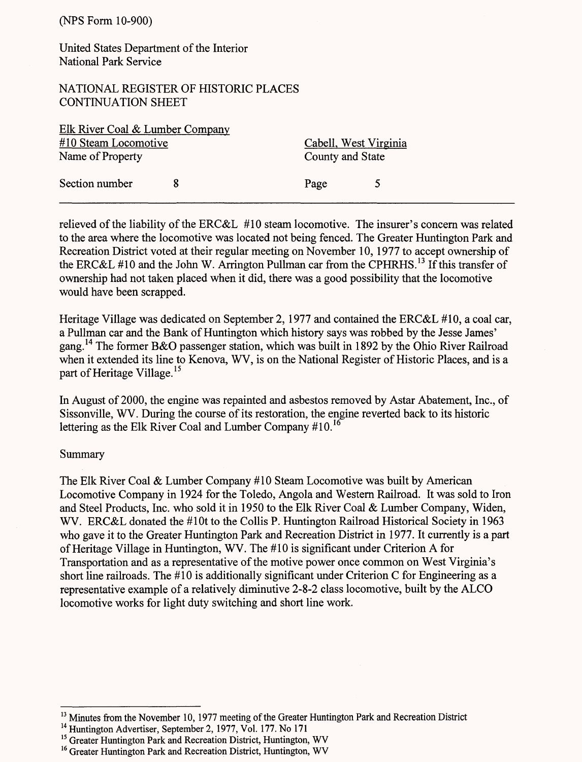United States Department of the Interior National Park Service

## NATIONAL REGISTER OF HISTORIC PLACES CONTINUATION SHEET

| Elk River Coal & Lumber Company |  |                       |  |
|---------------------------------|--|-----------------------|--|
| #10 Steam Locomotive            |  | Cabell, West Virginia |  |
| Name of Property                |  | County and State      |  |
| Section number                  |  | Page                  |  |

relieved of the liability of the ERC&L *#10* steam locomotive. The insurer's concern was related to the area where the locomotive was located not being fenced. The Greater Huntington Park and Recreation District voted at their regular meeting on November 10, 1977 to accept ownership of the ERC&L #10 and the John W. Arrington Pullman car from the CPHRHS.<sup>13</sup> If this transfer of ownership had not taken placed when it did, there was a good possibility that the locomotive would have been scrapped.

Heritage Village was dedicated on September 2,1977 and contained the ERC&L #10, a coal car, a Pullman car and the Bank of Huntington which history says was robbed by the Jesse James' gang.<sup>14</sup> The former B&O passenger station, which was built in 1892 by the Ohio River Railroad when it extended its line to Kenova, WV, is on the National Register of Historic Places, and is a part of Heritage Village.<sup>15</sup>

In August of 2000, the engine was repainted and asbestos removed by Astar Abatement, Inc., of Sissonville, WV. During the course of its restoration, the engine reverted back to its historic lettering as the Elk River Coal and Lumber Company #10.<sup>16</sup>

#### Summary

The Elk River Coal & Lumber Company #10 Steam Locomotive was built by American Locomotive Company in 1924 for the Toledo, Angola and Western Railroad. It was sold to Iron and Steel Products, Inc. who sold it in 1950 to the Elk River Coal & Lumber Company, Widen, WV. ERC&L donated the #10t to the Collis P. Huntington Railroad Historical Society in 1963 who gave it to the Greater Huntington Park and Recreation District in 1977. It currently is a part of Heritage Village in Huntington, WV. The #10 is significant under Criterion A for Transportation and as a representative of the motive power once common on West Virginia's short line railroads. The #10 is additionally significant under Criterion C for Engineering as a representative example of a relatively diminutive 2-8-2 class locomotive, built by the ALCO locomotive works for light duty switching and short line work.

<sup>&</sup>lt;sup>13</sup> Minutes from the November 10, 1977 meeting of the Greater Huntington Park and Recreation District

<sup>&</sup>lt;sup>14</sup> Huntington Advertiser, September 2, 1977, Vol. 177. No 171

<sup>&</sup>lt;sup>15</sup> Greater Huntington Park and Recreation District, Huntington, WV

<sup>&</sup>lt;sup>16</sup> Greater Huntington Park and Recreation District, Huntington, WV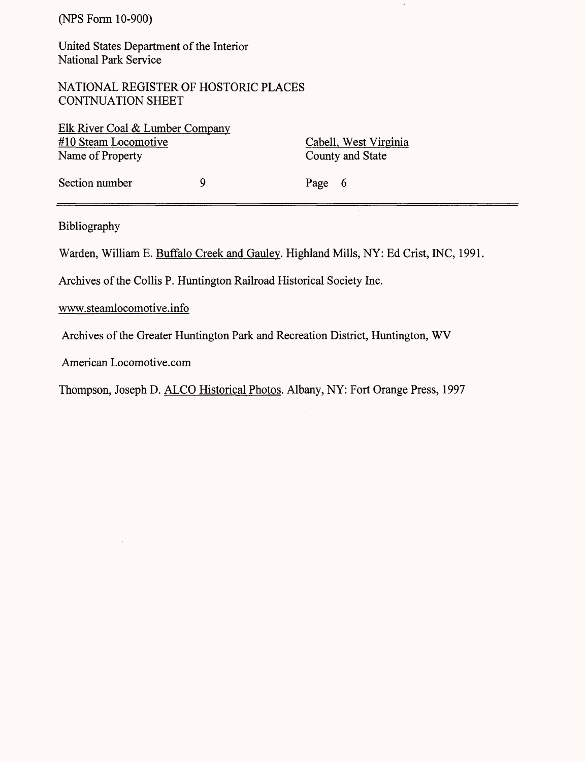United States Department of the Interior National Park Service

NATIONAL REGISTER OF HOSTORIC PLACES CONTNUATION SHEET

| Elk River Coal & Lumber Company |   |                       |
|---------------------------------|---|-----------------------|
| #10 Steam Locomotive            |   | Cabell, West Virginia |
| Name of Property                |   | County and State      |
| Section number                  | Q | Page 6                |

Bibliography

Warden, William E. Buffalo Creek and Gaulev. Highland Mills, NY: Ed Crist, INC, 1991,

Archives of the Collis P. Huntingdon Railroad Historical Society Inc.

www.steamlocomotive.info

Archives of the Greater Huntington Park and Recreation District, Huntingdon, WV

American Locomotive.com

Thompson, Joseph D. ALCO Historical Photos. Albany, NY: Fort Orange Press, 1997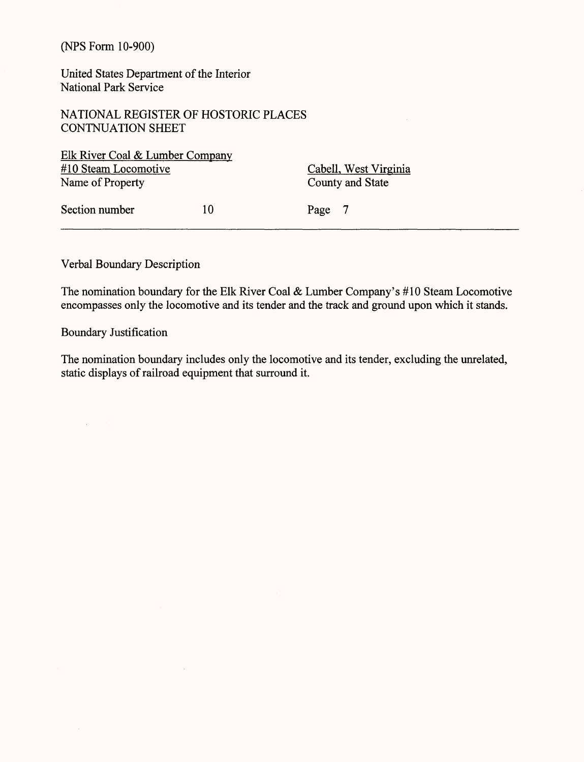United States Department of the Interior National Park Service

NATIONAL REGISTER OF HOSTORIC PLACES CONTNUATION SHEET

 $\bar{\alpha}$ 

Elk River Coal & Lumber Company #10 Steam Locomotive Cabell, West Virginia Name of Property County and State

Section number 10 Page 7

Verbal Boundary Description

The nomination boundary for the Elk River Coal & Lumber Company's #10 Steam Locomotive encompasses only the locomotive and its tender and the track and ground upon which it stands.

Boundary Justification

 $\Delta \sim 10^4$ 

 $\bar{z}$ 

The nomination boundary includes only the locomotive and its tender, excluding the unrelated, static displays of railroad equipment that surround it.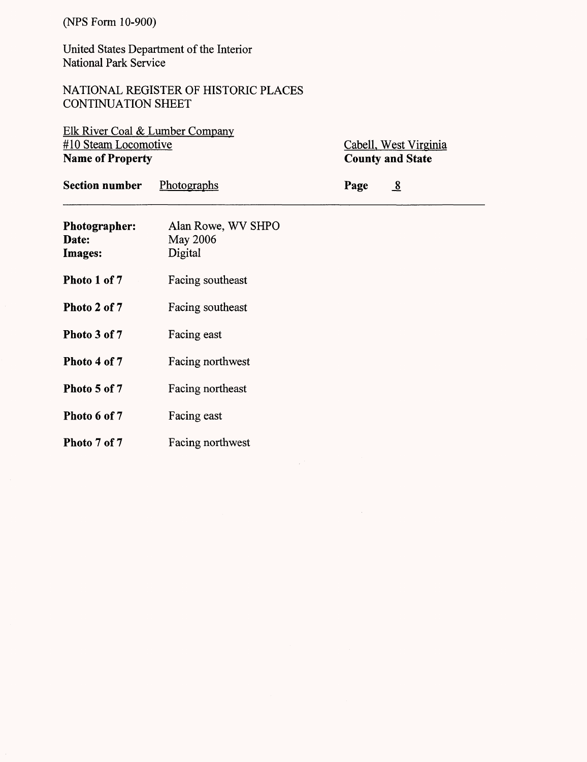United States Department of the Interior National Park Service

NATIONAL REGISTER OF HISTORIC PLACES CONTINUATION SHEET

Elk River Coal & Lumber Company #10 Steam Locomotive **Name of Property**

Cabell, West Virginia **County and State**

| <b>Section number</b>             | Photographs                               | $\overline{8}$<br>Page |  |
|-----------------------------------|-------------------------------------------|------------------------|--|
| Photographer:<br>Date:<br>Images: | Alan Rowe, WV SHPO<br>May 2006<br>Digital |                        |  |
| Photo 1 of 7                      | Facing southeast                          |                        |  |
| Photo 2 of 7                      | Facing southeast                          |                        |  |
| Photo 3 of 7                      | Facing east                               |                        |  |
| Photo 4 of 7                      | Facing northwest                          |                        |  |
| Photo 5 of 7                      | Facing northeast                          |                        |  |
| Photo 6 of 7                      | Facing east                               |                        |  |
| Photo 7 of 7                      | Facing northwest                          |                        |  |